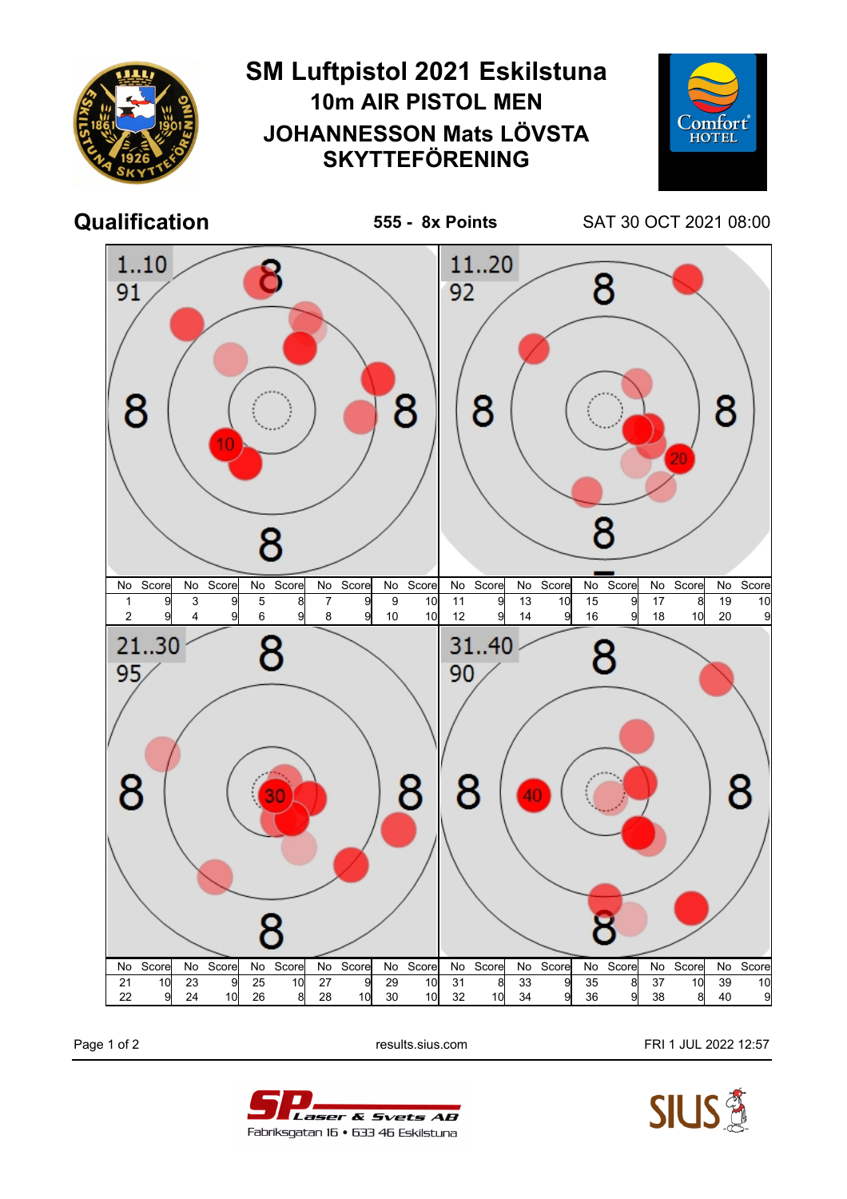

Page 1 of 2 **Page 1 of 2** results.sius.com **FRI 1 JUL 2022 12:57** 



Laser & Svets AB Fabriksgatan 16 • 633 46 Eskilstuna